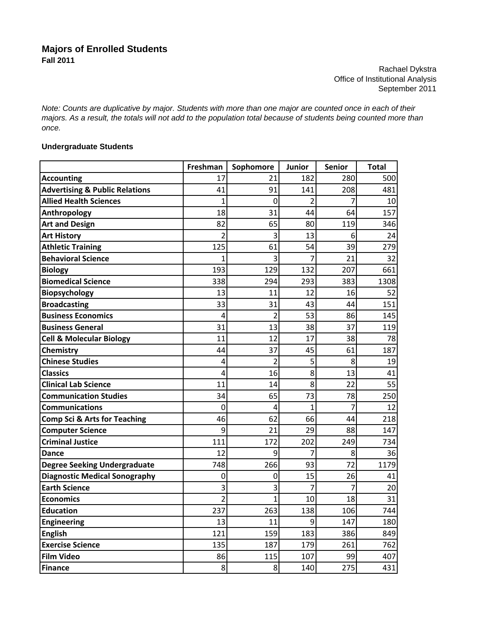## **Majors of Enrolled Students Fall 2011**

Rachael Dykstra Office of Institutional Analysis September 2011

*Note: Counts are duplicative by major. Students with more than one major are counted once in each of their majors. As a result, the totals will not add to the population total because of students being counted more than once.*

## **Undergraduate Students**

|                                           | Freshman       | Sophomore      | Junior | Senior | <b>Total</b> |
|-------------------------------------------|----------------|----------------|--------|--------|--------------|
| <b>Accounting</b>                         | 17             | 21             | 182    | 280    | 500          |
| <b>Advertising &amp; Public Relations</b> | 41             | 91             | 141    | 208    | 481          |
| <b>Allied Health Sciences</b>             | $\overline{1}$ | 0              | 2      | 7      | 10           |
| Anthropology                              | 18             | 31             | 44     | 64     | 157          |
| <b>Art and Design</b>                     | 82             | 65             | 80     | 119    | 346          |
| <b>Art History</b>                        | $\overline{2}$ | 3              | 13     | 6      | 24           |
| <b>Athletic Training</b>                  | 125            | 61             | 54     | 39     | 279          |
| <b>Behavioral Science</b>                 | $\overline{1}$ | 3              | 7      | 21     | 32           |
| <b>Biology</b>                            | 193            | 129            | 132    | 207    | 661          |
| <b>Biomedical Science</b>                 | 338            | 294            | 293    | 383    | 1308         |
| Biopsychology                             | 13             | 11             | 12     | 16     | 52           |
| <b>Broadcasting</b>                       | 33             | 31             | 43     | 44     | 151          |
| <b>Business Economics</b>                 | 4              | $\overline{2}$ | 53     | 86     | 145          |
| <b>Business General</b>                   | 31             | 13             | 38     | 37     | 119          |
| <b>Cell &amp; Molecular Biology</b>       | 11             | 12             | 17     | 38     | 78           |
| Chemistry                                 | 44             | 37             | 45     | 61     | 187          |
| <b>Chinese Studies</b>                    | 4              | $\overline{2}$ | 5      | 8      | 19           |
| <b>Classics</b>                           | 4              | 16             | 8      | 13     | 41           |
| <b>Clinical Lab Science</b>               | 11             | 14             | 8      | 22     | 55           |
| <b>Communication Studies</b>              | 34             | 65             | 73     | 78     | 250          |
| <b>Communications</b>                     | 0              | 4              | 1      | 7      | 12           |
| <b>Comp Sci &amp; Arts for Teaching</b>   | 46             | 62             | 66     | 44     | 218          |
| <b>Computer Science</b>                   | 9              | 21             | 29     | 88     | 147          |
| <b>Criminal Justice</b>                   | 111            | 172            | 202    | 249    | 734          |
| <b>Dance</b>                              | 12             | 9              | 7      | 8      | 36           |
| <b>Degree Seeking Undergraduate</b>       | 748            | 266            | 93     | 72     | 1179         |
| <b>Diagnostic Medical Sonography</b>      | 0              | 0              | 15     | 26     | 41           |
| <b>Earth Science</b>                      | 3              | 3              | 7      | 7      | 20           |
| <b>Economics</b>                          | $\overline{2}$ | 1              | 10     | 18     | 31           |
| <b>Education</b>                          | 237            | 263            | 138    | 106    | 744          |
| <b>Engineering</b>                        | 13             | 11             | 9      | 147    | 180          |
| <b>English</b>                            | 121            | 159            | 183    | 386    | 849          |
| <b>Exercise Science</b>                   | 135            | 187            | 179    | 261    | 762          |
| <b>Film Video</b>                         | 86             | 115            | 107    | 99     | 407          |
| <b>Finance</b>                            | $\bf 8$        | $\bf 8$        | 140    | 275    | 431          |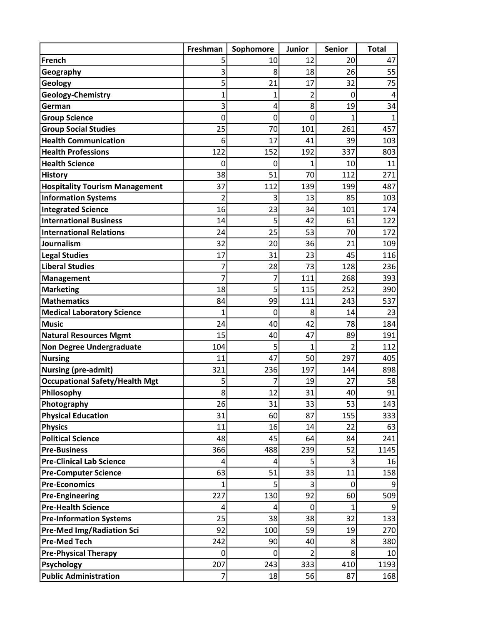|                                       | Freshman       | Sophomore      | <b>Junior</b> | <b>Senior</b>  | <b>Total</b> |
|---------------------------------------|----------------|----------------|---------------|----------------|--------------|
| <b>French</b>                         | 5              | 10             | 12            | 20             | 47           |
| Geography                             | 3              | 8              | 18            | 26             | 55           |
| Geology                               | 5              | 21             | 17            | 32             | 75           |
| <b>Geology-Chemistry</b>              | 1              | 1              | 2             | 0              | 4            |
| German                                | 3              | $\overline{4}$ | 8             | 19             | 34           |
| <b>Group Science</b>                  | 0              | $\overline{0}$ | 0             | 1              | $\mathbf{1}$ |
| <b>Group Social Studies</b>           | 25             | 70             | 101           | 261            | 457          |
| <b>Health Communication</b>           | 6              | 17             | 41            | 39             | 103          |
| <b>Health Professions</b>             | 122            | 152            | 192           | 337            | 803          |
| <b>Health Science</b>                 | 0              | 0              | 1             | 10             | 11           |
| <b>History</b>                        | 38             | 51             | 70            | 112            | 271          |
| <b>Hospitality Tourism Management</b> | 37             | 112            | 139           | 199            | 487          |
| <b>Information Systems</b>            | 2              | 3              | 13            | 85             | 103          |
| <b>Integrated Science</b>             | 16             | 23             | 34            | 101            | 174          |
| <b>International Business</b>         | 14             | 5              | 42            | 61             | 122          |
| <b>International Relations</b>        | 24             | 25             | 53            | 70             | 172          |
| Journalism                            | 32             | 20             | 36            | 21             | 109          |
| <b>Legal Studies</b>                  | 17             | 31             | 23            | 45             | 116          |
| <b>Liberal Studies</b>                | 7              | 28             | 73            | 128            | 236          |
| <b>Management</b>                     | 7              | 7              | 111           | 268            | 393          |
| <b>Marketing</b>                      | 18             | 5              | 115           | 252            | 390          |
| <b>Mathematics</b>                    | 84             | 99             | 111           | 243            | 537          |
| <b>Medical Laboratory Science</b>     | 1              | 0              | 8             | 14             | 23           |
| <b>Music</b>                          | 24             | 40             | 42            | 78             | 184          |
| <b>Natural Resources Mgmt</b>         | 15             | 40             | 47            | 89             | 191          |
| <b>Non Degree Undergraduate</b>       | 104            | 5              | 1             | $\overline{2}$ | 112          |
| <b>Nursing</b>                        | 11             | 47             | 50            | 297            | 405          |
| <b>Nursing (pre-admit)</b>            | 321            | 236            | 197           | 144            | 898          |
| <b>Occupational Safety/Health Mgt</b> | 5              |                | 19            | 27             | 58           |
| Philosophy                            | 8              | 12             | 31            | 40             | 91           |
| Photography                           | 26             | 31             | 33            | 53             | 143          |
| <b>Physical Education</b>             | 31             | 60             | 87            | 155            | 333          |
| <b>Physics</b>                        | 11             | 16             | 14            | 22             | 63           |
| <b>Political Science</b>              | 48             | 45             | 64            | 84             | 241          |
| <b>Pre-Business</b>                   | 366            | 488            | 239           | 52             | 1145         |
| <b>Pre-Clinical Lab Science</b>       | 4              | $\overline{4}$ | 5             | 3              | 16           |
| <b>Pre-Computer Science</b>           | 63             | 51             | 33            | 11             | 158          |
| <b>Pre-Economics</b>                  | $\mathbf{1}$   | 5              | 3             | $\mathbf 0$    | 9            |
| <b>Pre-Engineering</b>                | 227            | 130            | 92            | 60             | 509          |
| <b>Pre-Health Science</b>             | 4              | $\overline{4}$ | $\mathbf 0$   | $\overline{1}$ | 9            |
| <b>Pre-Information Systems</b>        | 25             | 38             | 38            | 32             | 133          |
| <b>Pre-Med Img/Radiation Sci</b>      | 92             | 100            | 59            | 19             | 270          |
| <b>Pre-Med Tech</b>                   | 242            | 90             | 40            | 8              | 380          |
| <b>Pre-Physical Therapy</b>           | $\mathbf 0$    | $\overline{0}$ | 2             | 8              | 10           |
| Psychology                            | 207            | 243            | 333           | 410            | 1193         |
| <b>Public Administration</b>          | $\overline{7}$ | 18             | 56            | 87             | 168          |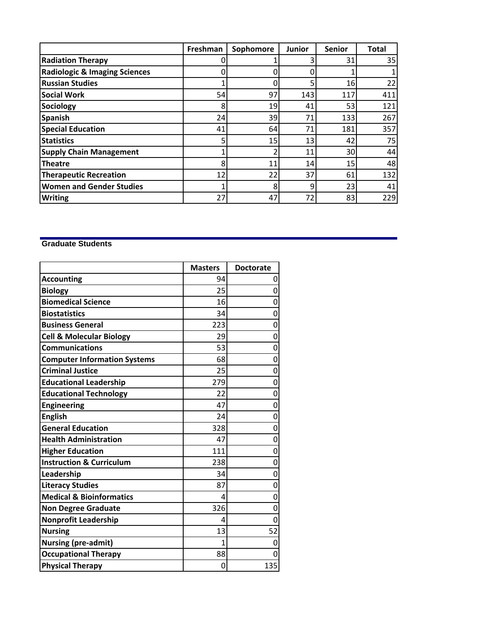|                                          | Freshman | Sophomore       | <b>Junior</b> | <b>Senior</b> | <b>Total</b> |
|------------------------------------------|----------|-----------------|---------------|---------------|--------------|
| <b>Radiation Therapy</b>                 |          |                 | 3             | 31            | 35           |
| <b>Radiologic &amp; Imaging Sciences</b> | 0        |                 |               |               |              |
| <b>Russian Studies</b>                   |          |                 | 5             | 16            | 22           |
| <b>Social Work</b>                       | 54       | 97              | 143           | 117           | 411          |
| Sociology                                | 8        | 19              | 41            | 53            | 121          |
| <b>Spanish</b>                           | 24       | 39              | 71            | 133           | 267          |
| <b>Special Education</b>                 | 41       | 64              | 71            | 181           | 357          |
| <b>Statistics</b>                        | 5        | 15 <sub>l</sub> | 13            | 42            | 75           |
| <b>Supply Chain Management</b>           |          | า               | 11            | 30            | 44           |
| <b>Theatre</b>                           | 8        | 11              | 14            | 15            | 48           |
| <b>Therapeutic Recreation</b>            | 12       | 22              | 37            | 61            | 132          |
| <b>Women and Gender Studies</b>          | 1        | 8               | 9             | 23            | 41           |
| <b>Writing</b>                           | 27       | 47              | 72            | 83            | 229          |

## **Graduate Students**

|                                     | <b>Masters</b> | <b>Doctorate</b> |
|-------------------------------------|----------------|------------------|
| <b>Accounting</b>                   | 94             | 0                |
| <b>Biology</b>                      | 25             | 0                |
| <b>Biomedical Science</b>           | 16             | 0                |
| <b>Biostatistics</b>                | 34             | 0                |
| <b>Business General</b>             | 223            | 0                |
| <b>Cell &amp; Molecular Biology</b> | 29             | 0                |
| <b>Communications</b>               | 53             | 0                |
| <b>Computer Information Systems</b> | 68             | 0                |
| <b>Criminal Justice</b>             | 25             | 0                |
| <b>Educational Leadership</b>       | 279            | 0                |
| <b>Educational Technology</b>       | 22             | 0                |
| <b>Engineering</b>                  | 47             | 0                |
| <b>English</b>                      | 24             | 0                |
| <b>General Education</b>            | 328            | 0                |
| <b>Health Administration</b>        | 47             | 0                |
| <b>Higher Education</b>             | 111            | 0                |
| <b>Instruction &amp; Curriculum</b> | 238            | 0                |
| Leadership                          | 34             | 0                |
| <b>Literacy Studies</b>             | 87             | 0                |
| <b>Medical &amp; Bioinformatics</b> | 4              | 0                |
| <b>Non Degree Graduate</b>          | 326            | 0                |
| <b>Nonprofit Leadership</b>         | 4              | ი                |
| <b>Nursing</b>                      | 13             | 52               |
| <b>Nursing (pre-admit)</b>          | 1              | 0                |
| <b>Occupational Therapy</b>         | 88             | 0                |
| <b>Physical Therapy</b>             | 0              | 135              |